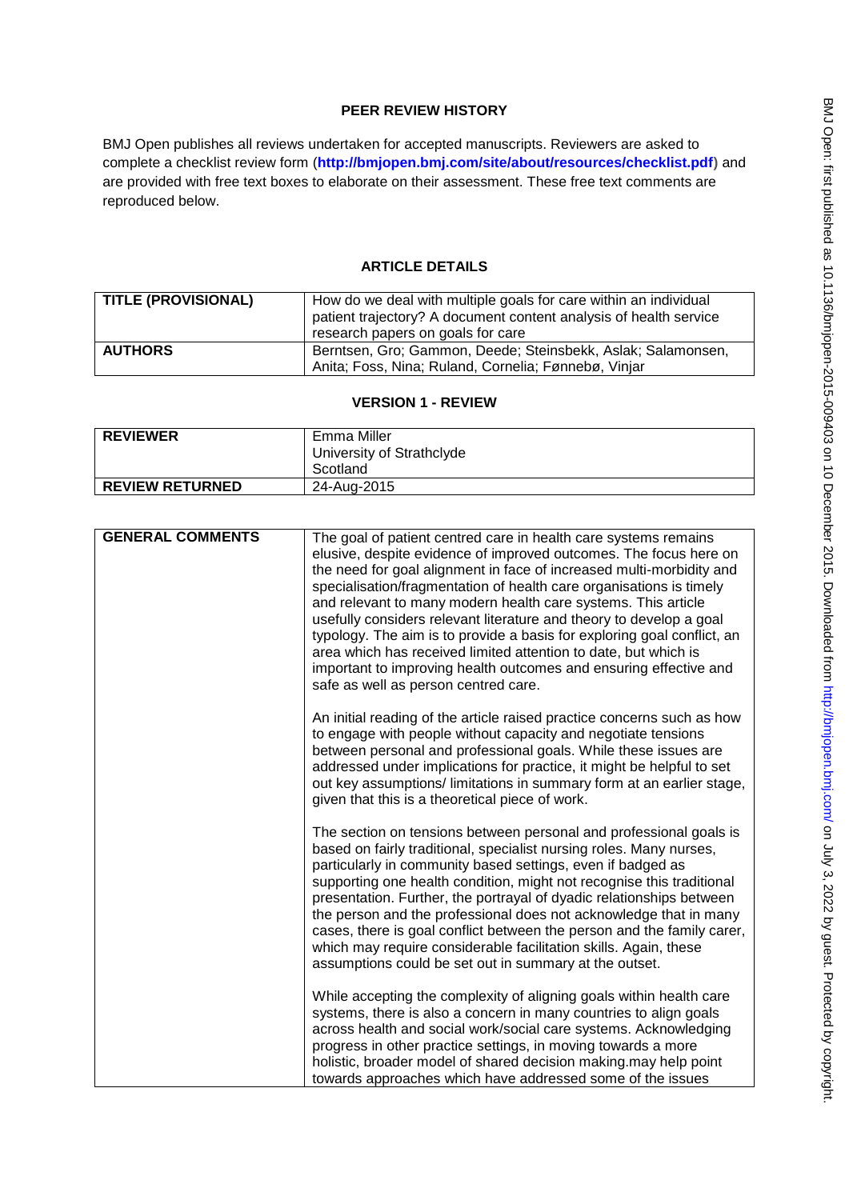# **PEER REVIEW HISTORY**

BMJ Open publishes all reviews undertaken for accepted manuscripts. Reviewers are asked to complete a checklist review form (**[http://bmjopen.bmj.com/site/about/resources/checklist.pdf\)](http://bmjopen.bmj.com/site/about/resources/checklist.pdf)** and are provided with free text boxes to elaborate on their assessment. These free text comments are reproduced below.

# **ARTICLE DETAILS**

| <b>TITLE (PROVISIONAL)</b> | How do we deal with multiple goals for care within an individual<br>patient trajectory? A document content analysis of health service |
|----------------------------|---------------------------------------------------------------------------------------------------------------------------------------|
|                            | research papers on goals for care                                                                                                     |
| <b>AUTHORS</b>             | Berntsen, Gro; Gammon, Deede; Steinsbekk, Aslak; Salamonsen,                                                                          |
|                            | Anita; Foss, Nina; Ruland, Cornelia; Fønnebø, Vinjar                                                                                  |

## **VERSION 1 - REVIEW**

| <b>REVIEWER</b>        | Emma Miller<br>University of Strathclyde |
|------------------------|------------------------------------------|
|                        | Scotland                                 |
| <b>REVIEW RETURNED</b> | 24-Aug-2015                              |

| <b>GENERAL COMMENTS</b> | The goal of patient centred care in health care systems remains<br>elusive, despite evidence of improved outcomes. The focus here on<br>the need for goal alignment in face of increased multi-morbidity and<br>specialisation/fragmentation of health care organisations is timely<br>and relevant to many modern health care systems. This article<br>usefully considers relevant literature and theory to develop a goal<br>typology. The aim is to provide a basis for exploring goal conflict, an<br>area which has received limited attention to date, but which is<br>important to improving health outcomes and ensuring effective and<br>safe as well as person centred care. |
|-------------------------|----------------------------------------------------------------------------------------------------------------------------------------------------------------------------------------------------------------------------------------------------------------------------------------------------------------------------------------------------------------------------------------------------------------------------------------------------------------------------------------------------------------------------------------------------------------------------------------------------------------------------------------------------------------------------------------|
|                         | An initial reading of the article raised practice concerns such as how<br>to engage with people without capacity and negotiate tensions<br>between personal and professional goals. While these issues are<br>addressed under implications for practice, it might be helpful to set<br>out key assumptions/ limitations in summary form at an earlier stage,<br>given that this is a theoretical piece of work.                                                                                                                                                                                                                                                                        |
|                         | The section on tensions between personal and professional goals is<br>based on fairly traditional, specialist nursing roles. Many nurses,<br>particularly in community based settings, even if badged as<br>supporting one health condition, might not recognise this traditional<br>presentation. Further, the portrayal of dyadic relationships between<br>the person and the professional does not acknowledge that in many<br>cases, there is goal conflict between the person and the family carer,<br>which may require considerable facilitation skills. Again, these<br>assumptions could be set out in summary at the outset.                                                 |
|                         | While accepting the complexity of aligning goals within health care<br>systems, there is also a concern in many countries to align goals<br>across health and social work/social care systems. Acknowledging<br>progress in other practice settings, in moving towards a more<br>holistic, broader model of shared decision making.may help point<br>towards approaches which have addressed some of the issues                                                                                                                                                                                                                                                                        |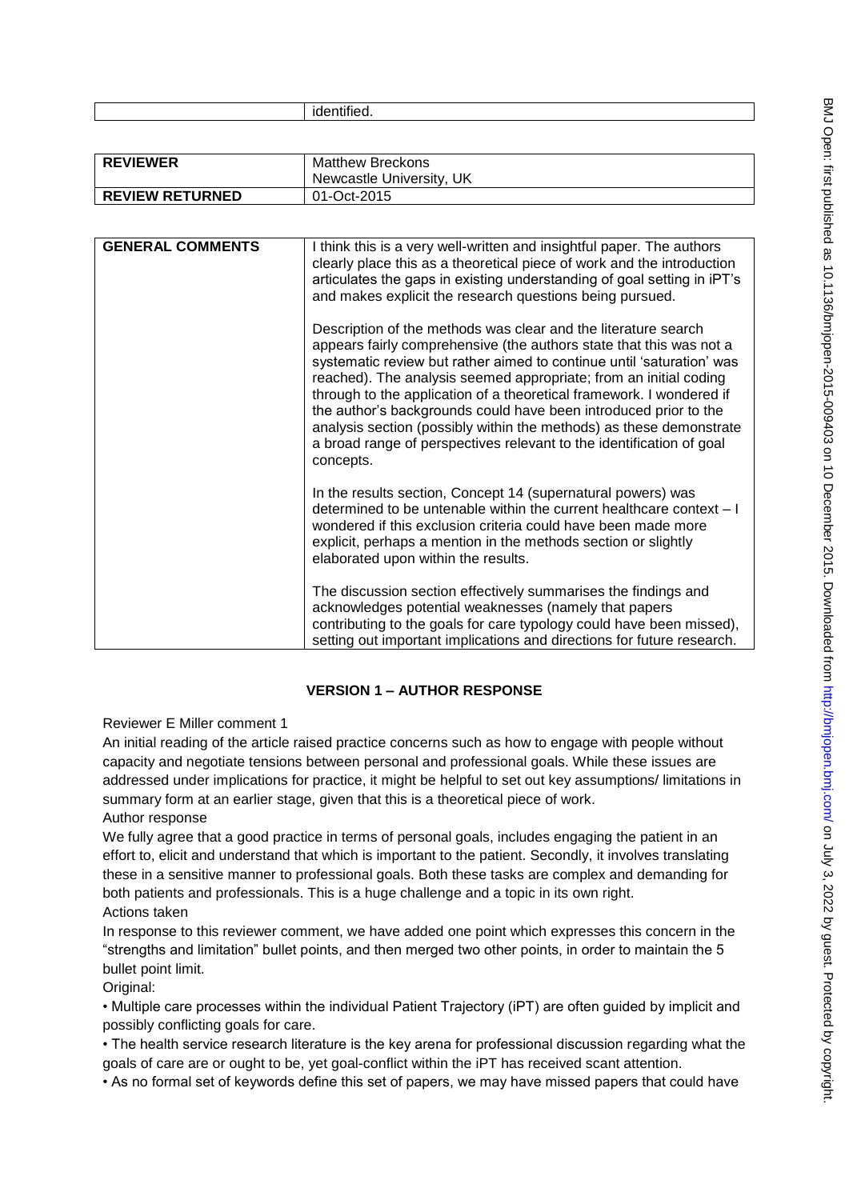| . |
|---|
|---|

| <b>REVIEWER</b>        | <b>Matthew Breckons</b>  |
|------------------------|--------------------------|
|                        | Newcastle University, UK |
| <b>REVIEW RETURNED</b> | 01-Oct-2015              |

| <b>GENERAL COMMENTS</b> | I think this is a very well-written and insightful paper. The authors<br>clearly place this as a theoretical piece of work and the introduction<br>articulates the gaps in existing understanding of goal setting in iPT's<br>and makes explicit the research questions being pursued.                                                                                                                                                                                                                                                                                                      |
|-------------------------|---------------------------------------------------------------------------------------------------------------------------------------------------------------------------------------------------------------------------------------------------------------------------------------------------------------------------------------------------------------------------------------------------------------------------------------------------------------------------------------------------------------------------------------------------------------------------------------------|
|                         | Description of the methods was clear and the literature search<br>appears fairly comprehensive (the authors state that this was not a<br>systematic review but rather aimed to continue until 'saturation' was<br>reached). The analysis seemed appropriate; from an initial coding<br>through to the application of a theoretical framework. I wondered if<br>the author's backgrounds could have been introduced prior to the<br>analysis section (possibly within the methods) as these demonstrate<br>a broad range of perspectives relevant to the identification of goal<br>concepts. |
|                         | In the results section, Concept 14 (supernatural powers) was<br>determined to be untenable within the current healthcare context - I<br>wondered if this exclusion criteria could have been made more<br>explicit, perhaps a mention in the methods section or slightly<br>elaborated upon within the results.                                                                                                                                                                                                                                                                              |
|                         | The discussion section effectively summarises the findings and<br>acknowledges potential weaknesses (namely that papers<br>contributing to the goals for care typology could have been missed),<br>setting out important implications and directions for future research.                                                                                                                                                                                                                                                                                                                   |

## **VERSION 1 – AUTHOR RESPONSE**

Reviewer E Miller comment 1

An initial reading of the article raised practice concerns such as how to engage with people without capacity and negotiate tensions between personal and professional goals. While these issues are addressed under implications for practice, it might be helpful to set out key assumptions/ limitations in summary form at an earlier stage, given that this is a theoretical piece of work. Author response

We fully agree that a good practice in terms of personal goals, includes engaging the patient in an effort to, elicit and understand that which is important to the patient. Secondly, it involves translating these in a sensitive manner to professional goals. Both these tasks are complex and demanding for both patients and professionals. This is a huge challenge and a topic in its own right. Actions taken

In response to this reviewer comment, we have added one point which expresses this concern in the "strengths and limitation" bullet points, and then merged two other points, in order to maintain the 5 bullet point limit.

Original:

• Multiple care processes within the individual Patient Trajectory (iPT) are often guided by implicit and possibly conflicting goals for care.

• The health service research literature is the key arena for professional discussion regarding what the goals of care are or ought to be, yet goal-conflict within the iPT has received scant attention.

• As no formal set of keywords define this set of papers, we may have missed papers that could have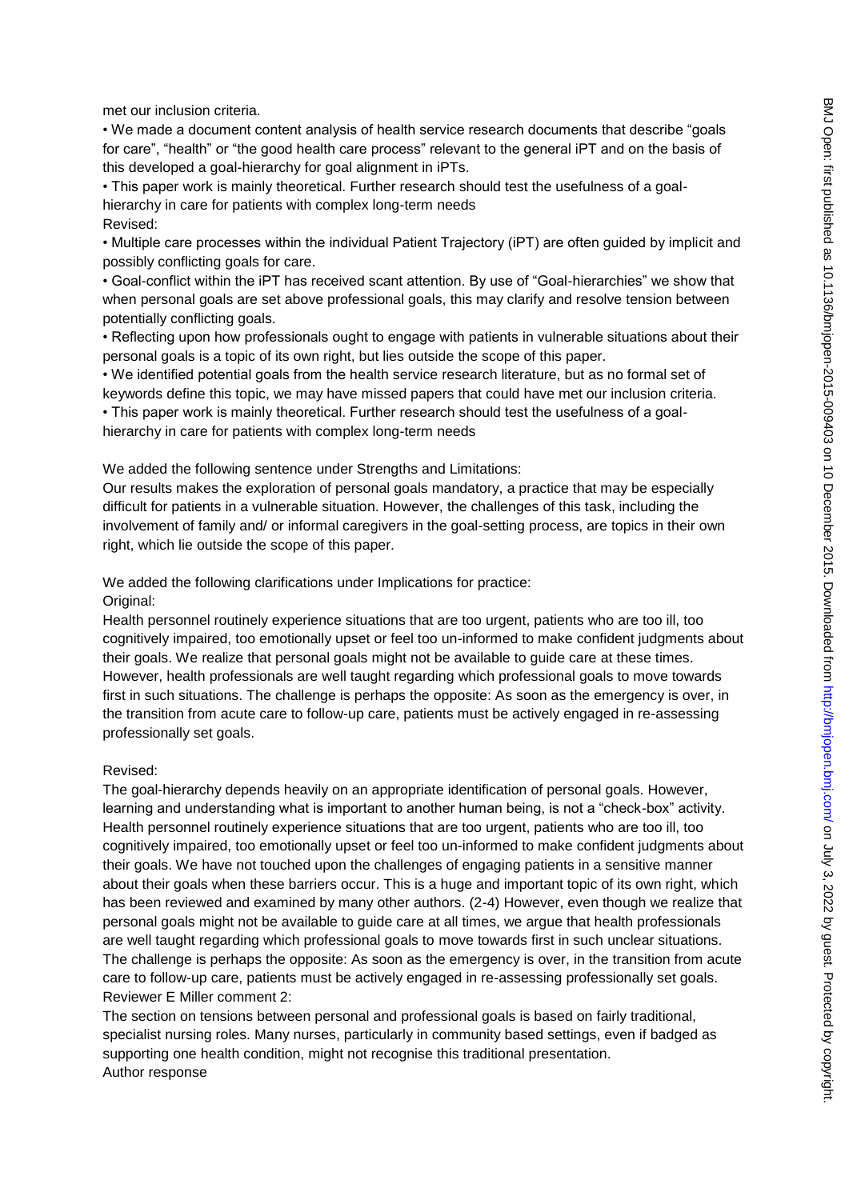met our inclusion criteria.

• We made a document content analysis of health service research documents that describe "goals for care", "health" or "the good health care process" relevant to the general iPT and on the basis of this developed a goal-hierarchy for goal alignment in iPTs.

• This paper work is mainly theoretical. Further research should test the usefulness of a goalhierarchy in care for patients with complex long-term needs Revised:

• Multiple care processes within the individual Patient Trajectory (iPT) are often guided by implicit and possibly conflicting goals for care.

• Goal-conflict within the iPT has received scant attention. By use of "Goal-hierarchies" we show that when personal goals are set above professional goals, this may clarify and resolve tension between potentially conflicting goals.

• Reflecting upon how professionals ought to engage with patients in vulnerable situations about their personal goals is a topic of its own right, but lies outside the scope of this paper.

• We identified potential goals from the health service research literature, but as no formal set of keywords define this topic, we may have missed papers that could have met our inclusion criteria.

• This paper work is mainly theoretical. Further research should test the usefulness of a goalhierarchy in care for patients with complex long-term needs

We added the following sentence under Strengths and Limitations:

Our results makes the exploration of personal goals mandatory, a practice that may be especially difficult for patients in a vulnerable situation. However, the challenges of this task, including the involvement of family and/ or informal caregivers in the goal-setting process, are topics in their own right, which lie outside the scope of this paper.

We added the following clarifications under Implications for practice: Original:

Health personnel routinely experience situations that are too urgent, patients who are too ill, too cognitively impaired, too emotionally upset or feel too un-informed to make confident judgments about their goals. We realize that personal goals might not be available to guide care at these times. However, health professionals are well taught regarding which professional goals to move towards first in such situations. The challenge is perhaps the opposite: As soon as the emergency is over, in the transition from acute care to follow-up care, patients must be actively engaged in re-assessing professionally set goals.

#### Revised:

The goal-hierarchy depends heavily on an appropriate identification of personal goals. However, learning and understanding what is important to another human being, is not a "check-box" activity. Health personnel routinely experience situations that are too urgent, patients who are too ill, too cognitively impaired, too emotionally upset or feel too un-informed to make confident judgments about their goals. We have not touched upon the challenges of engaging patients in a sensitive manner about their goals when these barriers occur. This is a huge and important topic of its own right, which has been reviewed and examined by many other authors. (2-4) However, even though we realize that personal goals might not be available to guide care at all times, we argue that health professionals are well taught regarding which professional goals to move towards first in such unclear situations. The challenge is perhaps the opposite: As soon as the emergency is over, in the transition from acute care to follow-up care, patients must be actively engaged in re-assessing professionally set goals. Reviewer E Miller comment 2:

The section on tensions between personal and professional goals is based on fairly traditional, specialist nursing roles. Many nurses, particularly in community based settings, even if badged as supporting one health condition, might not recognise this traditional presentation. Author response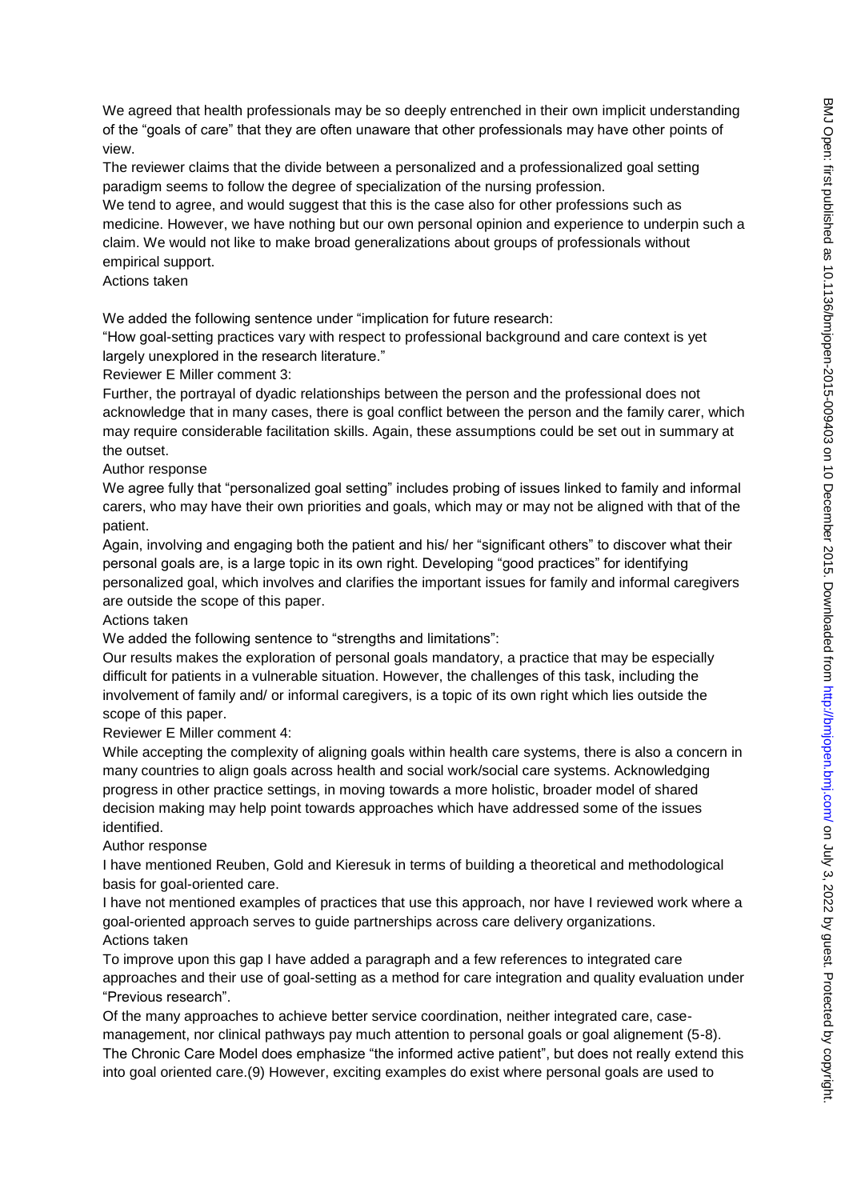We agreed that health professionals may be so deeply entrenched in their own implicit understanding of the "goals of care" that they are often unaware that other professionals may have other points of view.

The reviewer claims that the divide between a personalized and a professionalized goal setting paradigm seems to follow the degree of specialization of the nursing profession.

We tend to agree, and would suggest that this is the case also for other professions such as medicine. However, we have nothing but our own personal opinion and experience to underpin such a claim. We would not like to make broad generalizations about groups of professionals without empirical support.

#### Actions taken

We added the following sentence under "implication for future research:

"How goal-setting practices vary with respect to professional background and care context is yet largely unexplored in the research literature."

Reviewer E Miller comment 3:

Further, the portrayal of dyadic relationships between the person and the professional does not acknowledge that in many cases, there is goal conflict between the person and the family carer, which may require considerable facilitation skills. Again, these assumptions could be set out in summary at the outset.

Author response

We agree fully that "personalized goal setting" includes probing of issues linked to family and informal carers, who may have their own priorities and goals, which may or may not be aligned with that of the patient.

Again, involving and engaging both the patient and his/ her "significant others" to discover what their personal goals are, is a large topic in its own right. Developing "good practices" for identifying personalized goal, which involves and clarifies the important issues for family and informal caregivers are outside the scope of this paper.

## Actions taken

We added the following sentence to "strengths and limitations":

Our results makes the exploration of personal goals mandatory, a practice that may be especially difficult for patients in a vulnerable situation. However, the challenges of this task, including the involvement of family and/ or informal caregivers, is a topic of its own right which lies outside the scope of this paper.

Reviewer E Miller comment 4:

While accepting the complexity of aligning goals within health care systems, there is also a concern in many countries to align goals across health and social work/social care systems. Acknowledging progress in other practice settings, in moving towards a more holistic, broader model of shared decision making may help point towards approaches which have addressed some of the issues identified.

## Author response

I have mentioned Reuben, Gold and Kieresuk in terms of building a theoretical and methodological basis for goal-oriented care.

I have not mentioned examples of practices that use this approach, nor have I reviewed work where a goal-oriented approach serves to guide partnerships across care delivery organizations. Actions taken

To improve upon this gap I have added a paragraph and a few references to integrated care approaches and their use of goal-setting as a method for care integration and quality evaluation under "Previous research".

Of the many approaches to achieve better service coordination, neither integrated care, casemanagement, nor clinical pathways pay much attention to personal goals or goal alignement (5-8). The Chronic Care Model does emphasize "the informed active patient", but does not really extend this into goal oriented care.(9) However, exciting examples do exist where personal goals are used to